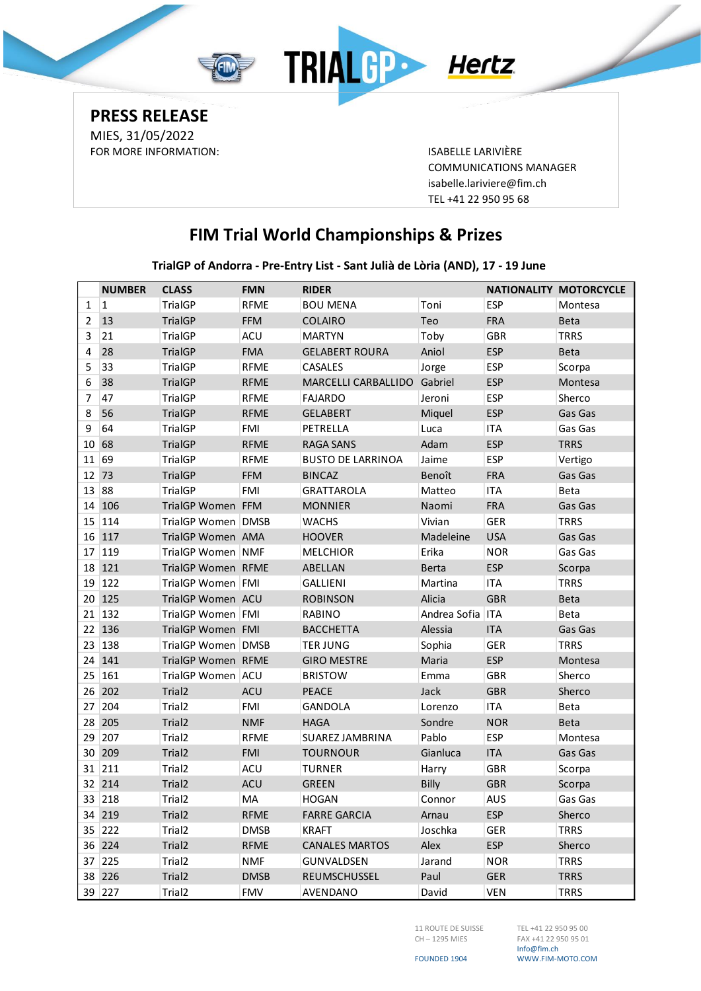

**PRESS RELEASE** MIES, 31/05/2022 FOR MORE INFORMATION: ISABELLE LARIVIÈRE

COMMUNICATIONS MANAGER [isabelle.lariviere@fim.ch](mailto:isabelle.lariviere@fim.ch) TEL +41 22 950 95 68

## **FIM Trial World Championships & Prizes**

**TrialGP of Andorra - Pre-Entry List - Sant Julià de Lòria (AND), 17 - 19 June**

|       | <b>NUMBER</b> | <b>CLASS</b>         | <b>FMN</b>  | <b>RIDER</b>             |                  |            | <b>NATIONALITY MOTORCYCLE</b> |
|-------|---------------|----------------------|-------------|--------------------------|------------------|------------|-------------------------------|
| 1     | $\vert$ 1     | TrialGP              | <b>RFME</b> | <b>BOU MENA</b>          | Toni             | <b>ESP</b> | Montesa                       |
| 2     | 13            | <b>TrialGP</b>       | <b>FFM</b>  | <b>COLAIRO</b>           | Teo              | <b>FRA</b> | <b>Beta</b>                   |
| 3     | 21            | <b>TrialGP</b>       | <b>ACU</b>  | <b>MARTYN</b>            | Toby             | <b>GBR</b> | <b>TRRS</b>                   |
| 4     | 28            | <b>TrialGP</b>       | <b>FMA</b>  | <b>GELABERT ROURA</b>    | Aniol            | <b>ESP</b> | <b>Beta</b>                   |
| 5     | 33            | <b>TrialGP</b>       | <b>RFME</b> | <b>CASALES</b>           | Jorge            | <b>ESP</b> | Scorpa                        |
| 6     | 38            | <b>TrialGP</b>       | <b>RFME</b> | MARCELLI CARBALLIDO      | Gabriel          | <b>ESP</b> | Montesa                       |
| 7     | 47            | <b>TrialGP</b>       | <b>RFME</b> | <b>FAJARDO</b>           | Jeroni           | <b>ESP</b> | Sherco                        |
| 8     | 56            | <b>TrialGP</b>       | <b>RFME</b> | <b>GELABERT</b>          | Miquel           | <b>ESP</b> | Gas Gas                       |
| 9     | 64            | TrialGP              | <b>FMI</b>  | PETRELLA                 | Luca             | <b>ITA</b> | Gas Gas                       |
| 10    | 68            | <b>TrialGP</b>       | <b>RFME</b> | <b>RAGA SANS</b>         | Adam             | <b>ESP</b> | <b>TRRS</b>                   |
| 11 69 |               | <b>TrialGP</b>       | <b>RFME</b> | <b>BUSTO DE LARRINOA</b> | Jaime            | <b>ESP</b> | Vertigo                       |
| 12    | 73            | <b>TrialGP</b>       | <b>FFM</b>  | <b>BINCAZ</b>            | Benoît           | <b>FRA</b> | Gas Gas                       |
| 13    | 88            | <b>TrialGP</b>       | <b>FMI</b>  | <b>GRATTAROLA</b>        | Matteo           | <b>ITA</b> | Beta                          |
| 14    | 106           | TrialGP Women FFM    |             | <b>MONNIER</b>           | Naomi            | <b>FRA</b> | Gas Gas                       |
| 15    | 114           | TrialGP Women   DMSB |             | <b>WACHS</b>             | Vivian           | <b>GER</b> | <b>TRRS</b>                   |
|       | 16 117        | TrialGP Women AMA    |             | <b>HOOVER</b>            | Madeleine        | <b>USA</b> | Gas Gas                       |
| 17    | 119           | TrialGP Women NMF    |             | <b>MELCHIOR</b>          | Erika            | <b>NOR</b> | Gas Gas                       |
|       | 18 121        | TrialGP Women RFME   |             | ABELLAN                  | <b>Berta</b>     | <b>ESP</b> | Scorpa                        |
|       | 19 122        | TrialGP Women FMI    |             | <b>GALLIENI</b>          | Martina          | <b>ITA</b> | <b>TRRS</b>                   |
|       | 20 125        | TrialGP Women ACU    |             | <b>ROBINSON</b>          | Alicia           | <b>GBR</b> | <b>Beta</b>                   |
|       | 21 132        | TrialGP Women   FMI  |             | <b>RABINO</b>            | Andrea Sofia ITA |            | Beta                          |
|       | 22 136        | TrialGP Women FMI    |             | <b>BACCHETTA</b>         | Alessia          | <b>ITA</b> | Gas Gas                       |
| 23    | 138           | TrialGP Women   DMSB |             | <b>TER JUNG</b>          | Sophia           | <b>GER</b> | <b>TRRS</b>                   |
| 24    | 141           | TrialGP Women RFME   |             | <b>GIRO MESTRE</b>       | Maria            | <b>ESP</b> | Montesa                       |
| 25    | 161           | TrialGP Women ACU    |             | <b>BRISTOW</b>           | Emma             | <b>GBR</b> | Sherco                        |
|       | 26 202        | Trial <sub>2</sub>   | <b>ACU</b>  | <b>PEACE</b>             | Jack             | <b>GBR</b> | Sherco                        |
| 27    | 204           | Trial <sub>2</sub>   | <b>FMI</b>  | GANDOLA                  | Lorenzo          | <b>ITA</b> | Beta                          |
| 28    | 205           | Trial <sub>2</sub>   | <b>NMF</b>  | <b>HAGA</b>              | Sondre           | <b>NOR</b> | <b>Beta</b>                   |
| 29    | 207           | Trial <sub>2</sub>   | <b>RFME</b> | SUAREZ JAMBRINA          | Pablo            | <b>ESP</b> | Montesa                       |
| 30    | 209           | Trial <sub>2</sub>   | <b>FMI</b>  | <b>TOURNOUR</b>          | Gianluca         | <b>ITA</b> | Gas Gas                       |
|       | 31 211        | Trial <sub>2</sub>   | <b>ACU</b>  | <b>TURNER</b>            | Harry            | <b>GBR</b> | Scorpa                        |
|       | 32 214        | Trial <sub>2</sub>   | <b>ACU</b>  | <b>GREEN</b>             | Billy            | <b>GBR</b> | Scorpa                        |
|       | 33 218        | Trial <sub>2</sub>   | MA          | <b>HOGAN</b>             | Connor           | <b>AUS</b> | Gas Gas                       |
|       | 34 219        | Trial <sub>2</sub>   | <b>RFME</b> | <b>FARRE GARCIA</b>      | Arnau            | <b>ESP</b> | Sherco                        |
|       | 35 222        | Trial <sub>2</sub>   | <b>DMSB</b> | <b>KRAFT</b>             | Joschka          | GER        | <b>TRRS</b>                   |
|       | 36 224        | Trial <sub>2</sub>   | <b>RFME</b> | <b>CANALES MARTOS</b>    | Alex             | <b>ESP</b> | Sherco                        |
|       | 37 225        | Trial2               | NMF         | GUNVALDSEN               | Jarand           | <b>NOR</b> | <b>TRRS</b>                   |
|       | 38 226        | Trial <sub>2</sub>   | <b>DMSB</b> | REUMSCHUSSEL             | Paul             | <b>GER</b> | <b>TRRS</b>                   |
|       | 39 227        | Trial2               | <b>FMV</b>  | AVENDANO                 | David            | <b>VEN</b> | <b>TRRS</b>                   |

11 ROUTE DE SUISSE CH – 1295 MIES

TEL +41 22 950 95 00 FAX +41 22 950 95 01 Info@fim.ch WWW.FIM-MOTO.COM

FOUNDED 1904